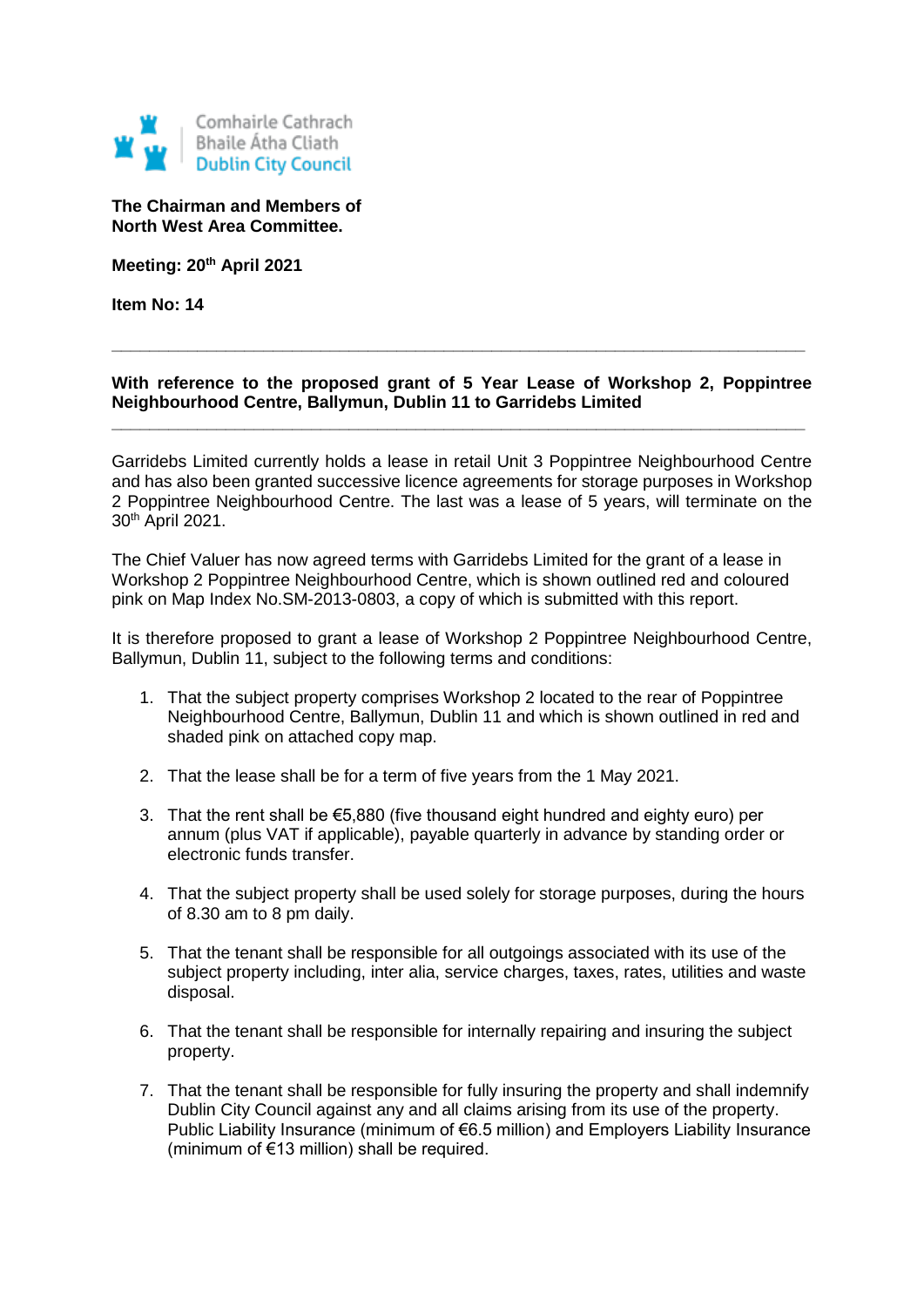

**The Chairman and Members of North West Area Committee.**

**Meeting: 20th April 2021**

**Item No: 14**

## **With reference to the proposed grant of 5 Year Lease of Workshop 2, Poppintree Neighbourhood Centre, Ballymun, Dublin 11 to Garridebs Limited**

**\_\_\_\_\_\_\_\_\_\_\_\_\_\_\_\_\_\_\_\_\_\_\_\_\_\_\_\_\_\_\_\_\_\_\_\_\_\_\_\_\_\_\_\_\_\_\_\_\_\_\_\_\_\_\_\_\_\_\_\_\_\_\_\_\_\_\_\_\_\_\_\_\_**

**\_\_\_\_\_\_\_\_\_\_\_\_\_\_\_\_\_\_\_\_\_\_\_\_\_\_\_\_\_\_\_\_\_\_\_\_\_\_\_\_\_\_\_\_\_\_\_\_\_\_\_\_\_\_\_\_\_\_\_\_\_\_\_\_\_\_\_\_\_\_\_\_\_**

Garridebs Limited currently holds a lease in retail Unit 3 Poppintree Neighbourhood Centre and has also been granted successive licence agreements for storage purposes in Workshop 2 Poppintree Neighbourhood Centre. The last was a lease of 5 years, will terminate on the 30th April 2021.

The Chief Valuer has now agreed terms with Garridebs Limited for the grant of a lease in Workshop 2 Poppintree Neighbourhood Centre, which is shown outlined red and coloured pink on Map Index No.SM-2013-0803, a copy of which is submitted with this report.

It is therefore proposed to grant a lease of Workshop 2 Poppintree Neighbourhood Centre, Ballymun, Dublin 11, subject to the following terms and conditions:

- 1. That the subject property comprises Workshop 2 located to the rear of Poppintree Neighbourhood Centre, Ballymun, Dublin 11 and which is shown outlined in red and shaded pink on attached copy map.
- 2. That the lease shall be for a term of five years from the 1 May 2021.
- 3. That the rent shall be €5,880 (five thousand eight hundred and eighty euro) per annum (plus VAT if applicable), payable quarterly in advance by standing order or electronic funds transfer.
- 4. That the subject property shall be used solely for storage purposes, during the hours of 8.30 am to 8 pm daily.
- 5. That the tenant shall be responsible for all outgoings associated with its use of the subject property including, inter alia, service charges, taxes, rates, utilities and waste disposal.
- 6. That the tenant shall be responsible for internally repairing and insuring the subject property.
- 7. That the tenant shall be responsible for fully insuring the property and shall indemnify Dublin City Council against any and all claims arising from its use of the property. Public Liability Insurance (minimum of €6.5 million) and Employers Liability Insurance (minimum of €13 million) shall be required.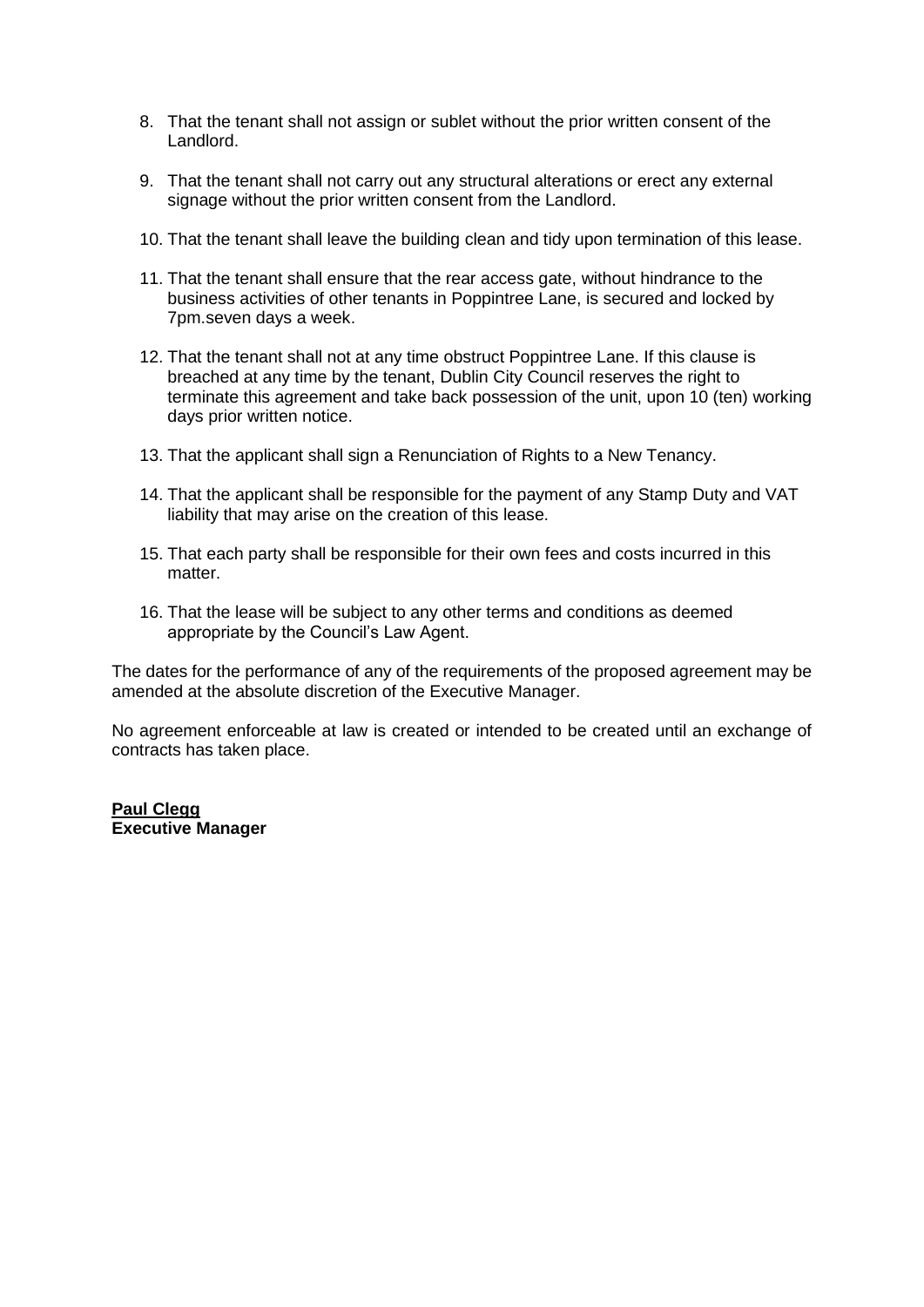- 8. That the tenant shall not assign or sublet without the prior written consent of the Landlord.
- 9. That the tenant shall not carry out any structural alterations or erect any external signage without the prior written consent from the Landlord.
- 10. That the tenant shall leave the building clean and tidy upon termination of this lease.
- 11. That the tenant shall ensure that the rear access gate, without hindrance to the business activities of other tenants in Poppintree Lane, is secured and locked by 7pm.seven days a week.
- 12. That the tenant shall not at any time obstruct Poppintree Lane. If this clause is breached at any time by the tenant, Dublin City Council reserves the right to terminate this agreement and take back possession of the unit, upon 10 (ten) working days prior written notice.
- 13. That the applicant shall sign a Renunciation of Rights to a New Tenancy.
- 14. That the applicant shall be responsible for the payment of any Stamp Duty and VAT liability that may arise on the creation of this lease.
- 15. That each party shall be responsible for their own fees and costs incurred in this matter.
- 16. That the lease will be subject to any other terms and conditions as deemed appropriate by the Council's Law Agent.

The dates for the performance of any of the requirements of the proposed agreement may be amended at the absolute discretion of the Executive Manager.

No agreement enforceable at law is created or intended to be created until an exchange of contracts has taken place.

## **Paul Clegg Executive Manager**